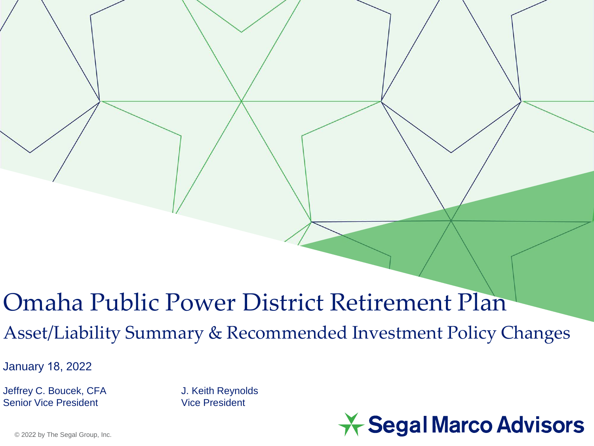### Omaha Public Power District Retirement Plan

Asset/Liability Summary & Recommended Investment Policy Changes

January 18, 2022

Jeffrey C. Boucek, CFA J. Keith Reynolds Senior Vice President Vice President

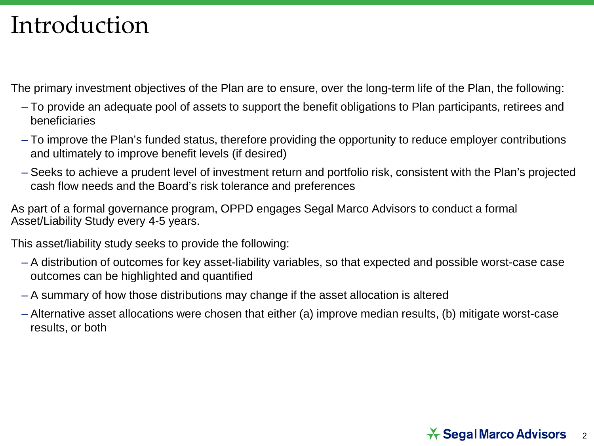## Introduction

The primary investment objectives of the Plan are to ensure, over the long-term life of the Plan, the following:

- To provide an adequate pool of assets to support the benefit obligations to Plan participants, retirees and beneficiaries
- To improve the Plan's funded status, therefore providing the opportunity to reduce employer contributions and ultimately to improve benefit levels (if desired)
- Seeks to achieve a prudent level of investment return and portfolio risk, consistent with the Plan's projected cash flow needs and the Board's risk tolerance and preferences

As part of a formal governance program, OPPD engages Segal Marco Advisors to conduct a formal Asset/Liability Study every 4-5 years.

This asset/liability study seeks to provide the following:

- A distribution of outcomes for key asset-liability variables, so that expected and possible worst-case case outcomes can be highlighted and quantified
- A summary of how those distributions may change if the asset allocation is altered
- Alternative asset allocations were chosen that either (a) improve median results, (b) mitigate worst-case results, or both

#### $\star$  Segal Marco Advisors 2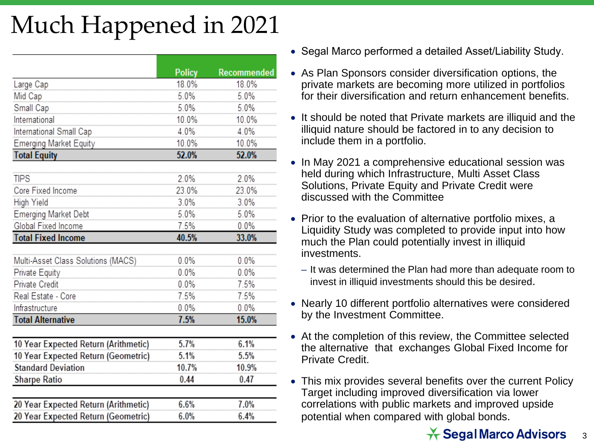# Much Happened in 2021

|                                                                  | <b>Policy</b> | Recommended |
|------------------------------------------------------------------|---------------|-------------|
| Large Cap                                                        | 18.0%         | 18.0%       |
| Mid Cap                                                          | 5.0%          | 5.0%        |
| Small Cap                                                        | 5.0%          | 5.0%        |
| International                                                    | 10.0%         | 10.0%       |
| International Small Cap                                          | 4.0%          | 4.0%        |
| Emerging Market Equity                                           | 10.0%         | 10.0%       |
| <b>Total Equity</b>                                              | 52.0%         | 52.0%       |
| <b>TIPS</b>                                                      | 2.0%          | 2.0%        |
| Core Fixed Income                                                |               |             |
|                                                                  | 23.0%         | 23.0%       |
| High Yield                                                       | 3.0%          | 3.0%        |
| Emerging Market Debt                                             | 5.0%          | 5.0%        |
| Global Fixed Income                                              | 7.5%          | 0.0%        |
| <b>Total Fixed Income</b>                                        | 40.5%         | 33.0%       |
| Multi-Asset Class Solutions (MACS)                               | 0.0%          | 0.0%        |
| Private Equity                                                   | 0.0%          | $0.0\%$     |
| Private Credit                                                   | 0.0%          | 7.5%        |
| Real Estate - Core                                               | 7.5%          | 7.5%        |
| Infrastructure                                                   | 0.0%          | $0.0\%$     |
| <b>Total Alternative</b>                                         | 7.5%          | 15.0%       |
| 10 Year Expected Return (Arithmetic)                             | 5.7%          | 6.1%        |
|                                                                  | 5.1%          | 5.5%        |
| 10 Year Expected Return (Geometric)<br><b>Standard Deviation</b> | 10.7%         |             |
|                                                                  |               | 10.9%       |
| Sharpe Ratio                                                     | 0.44          | 0.47        |
| 20 Year Expected Return (Arithmetic)                             | 6.6%          | 7.0%        |
| 20 Year Expected Return (Geometric)                              | 6.0%          | 6.4%        |

- Segal Marco performed a detailed Asset/Liability Study.
- As Plan Sponsors consider diversification options, the private markets are becoming more utilized in portfolios for their diversification and return enhancement benefits.
- It should be noted that Private markets are illiquid and the illiquid nature should be factored in to any decision to include them in a portfolio.
- In May 2021 a comprehensive educational session was held during which Infrastructure, Multi Asset Class Solutions, Private Equity and Private Credit were discussed with the Committee
- Prior to the evaluation of alternative portfolio mixes, a Liquidity Study was completed to provide input into how much the Plan could potentially invest in illiquid investments.
	- It was determined the Plan had more than adequate room to invest in illiquid investments should this be desired.
- Nearly 10 different portfolio alternatives were considered by the Investment Committee.
- At the completion of this review, the Committee selected the alternative that exchanges Global Fixed Income for Private Credit.
- This mix provides several benefits over the current Policy Target including improved diversification via lower correlations with public markets and improved upside potential when compared with global bonds.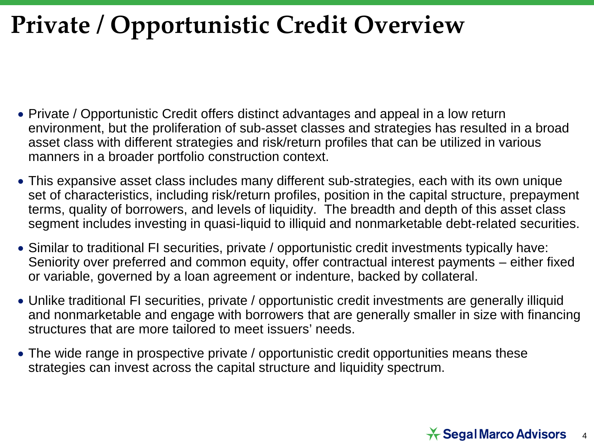# **Private / Opportunistic Credit Overview**

- Private / Opportunistic Credit offers distinct advantages and appeal in a low return environment, but the proliferation of sub-asset classes and strategies has resulted in a broad asset class with different strategies and risk/return profiles that can be utilized in various manners in a broader portfolio construction context.
- This expansive asset class includes many different sub-strategies, each with its own unique set of characteristics, including risk/return profiles, position in the capital structure, prepayment terms, quality of borrowers, and levels of liquidity. The breadth and depth of this asset class segment includes investing in quasi-liquid to illiquid and nonmarketable debt-related securities.
- Similar to traditional FI securities, private / opportunistic credit investments typically have: Seniority over preferred and common equity, offer contractual interest payments – either fixed or variable, governed by a loan agreement or indenture, backed by collateral.
- Unlike traditional FI securities, private / opportunistic credit investments are generally illiquid and nonmarketable and engage with borrowers that are generally smaller in size with financing structures that are more tailored to meet issuers' needs.
- The wide range in prospective private / opportunistic credit opportunities means these strategies can invest across the capital structure and liquidity spectrum.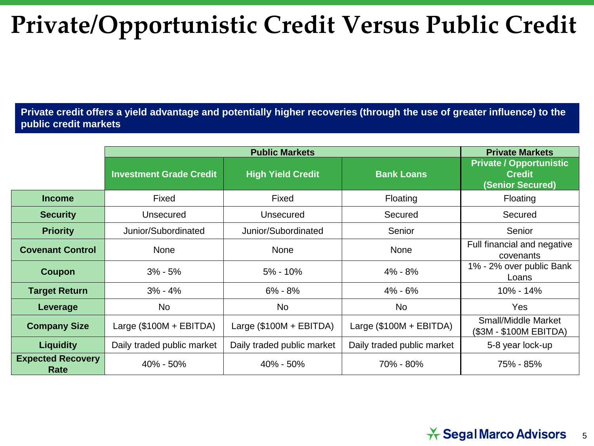# **Private/Opportunistic Credit Versus Public Credit**

**Private credit offers a yield advantage and potentially higher recoveries (through the use of greater influence) to the public credit markets**

|                                  | <b>Public Markets</b>          |                            |                            | <b>Private Markets</b>                                              |
|----------------------------------|--------------------------------|----------------------------|----------------------------|---------------------------------------------------------------------|
|                                  | <b>Investment Grade Credit</b> | <b>High Yield Credit</b>   | <b>Bank Loans</b>          | <b>Private / Opportunistic</b><br><b>Credit</b><br>(Senior Secured) |
| <b>Income</b>                    | Fixed                          | Fixed                      | Floating                   | Floating                                                            |
| <b>Security</b>                  | Unsecured                      | Unsecured                  | Secured                    | Secured                                                             |
| <b>Priority</b>                  | Junior/Subordinated            | Junior/Subordinated        | Senior                     | Senior                                                              |
| <b>Covenant Control</b>          | None                           | None                       | None                       | Full financial and negative<br>covenants                            |
| Coupon                           | $3\% - 5\%$                    | $5\% - 10\%$               | $4\% - 8\%$                | 1% - 2% over public Bank<br>Loans                                   |
| <b>Target Return</b>             | $3% - 4%$                      | $6\% - 8\%$                | $4\% - 6\%$                | 10% - 14%                                                           |
| Leverage                         | <b>No</b>                      | <b>No</b>                  | No                         | <b>Yes</b>                                                          |
| <b>Company Size</b>              | Large $(\$100M + EBITDA)$      | Large $(\$100M + EBITDA)$  | Large $(\$100M + EBITDA)$  | Small/Middle Market<br>(\$3M - \$100M EBITDA)                       |
| <b>Liquidity</b>                 | Daily traded public market     | Daily traded public market | Daily traded public market | 5-8 year lock-up                                                    |
| <b>Expected Recovery</b><br>Rate | 40% - 50%                      | 40% - 50%                  | 70% - 80%                  | 75% - 85%                                                           |